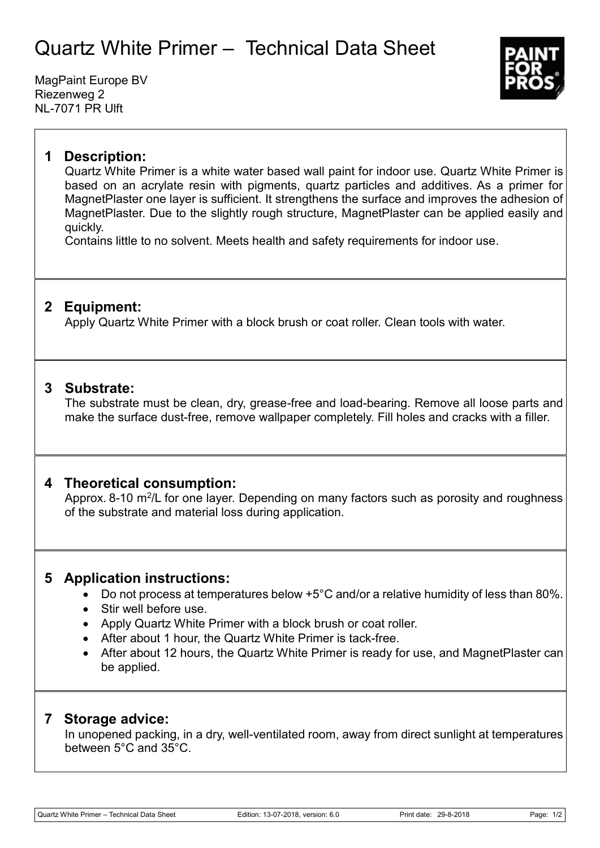# Quartz White Primer – Technical Data Sheet

MagPaint Europe BV Riezenweg 2 NL-7071 PR Ulft



### **1 Description:**

Quartz White Primer is a white water based wall paint for indoor use. Quartz White Primer is based on an acrylate resin with pigments, quartz particles and additives. As a primer for MagnetPlaster one layer is sufficient. It strengthens the surface and improves the adhesion of MagnetPlaster. Due to the slightly rough structure, MagnetPlaster can be applied easily and quickly.

Contains little to no solvent. Meets health and safety requirements for indoor use.

## **2 Equipment:**

Apply Quartz White Primer with a block brush or coat roller. Clean tools with water.

#### **3 Substrate:**

The substrate must be clean, dry, grease-free and load-bearing. Remove all loose parts and make the surface dust-free, remove wallpaper completely. Fill holes and cracks with a filler.

#### **4 Theoretical consumption:**

Approx. 8-10 m<sup>2</sup>/L for one layer. Depending on many factors such as porosity and roughness of the substrate and material loss during application.

## **5 Application instructions:**

- Do not process at temperatures below +5°C and/or a relative humidity of less than 80%.
- Stir well before use.
- Apply Quartz White Primer with a block brush or coat roller.
- After about 1 hour, the Quartz White Primer is tack-free.
- After about 12 hours, the Quartz White Primer is ready for use, and MagnetPlaster can be applied.

#### **7 Storage advice:**

In unopened packing, in a dry, well-ventilated room, away from direct sunlight at temperatures between 5°C and 35°C.